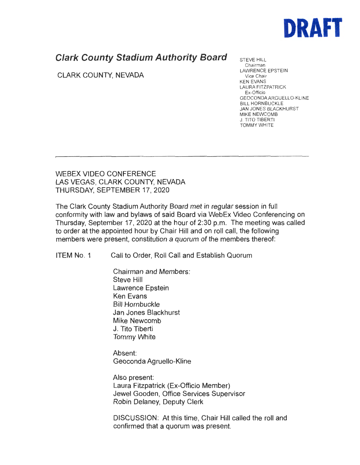

## **Clark County Stadium Authority Board**

CLARK COUNTY, NEVADA

STEVE HILL Chairman LAWRENCE EPSTEIN Vice Chair KEN EVANS LAURA FITZPATRICK Ex-Officio GEOCONDAARGUELLO-KLINE BILL HORNBUCKLE JAN JONES BLACKHURST MIKE NEWCOMB J. TITO TIBERTI TOMMY WHITE

WEBEX VIDEO CONFERENCE LAS VEGAS, CLARK COUNTY, NEVADA THURSDAY, SEPTEMBER 17, 2020

The Clark County Stadium Authority Board met in regular session in full conformity with law and bylaws of said Board via WebEx Video Conferencing on Thursday, September 17, 2020 at the hour of 2:30 p.m. The meeting was called to order at the appointed hour by Chair Hill and on roll call, the following members were present, constitution a quorum of the members thereof:

ITEM No. 1 Call to Order, Roll Call and Establish Quorum

Chairman and Members: Steve Hill Lawrence Epstein Ken Evans Bill Hornbuckle Jan Jones Blackhurst Mike Newcomb J. Tito Tiberti Tommy White

Absent: Geoconda Agruello-Kline

Also present: Laura Fitzpatrick (Ex-Officio Member) Jewel Gooden, Office Services Supervisor Robin Delaney, Deputy Clerk

DISCUSSION: At this time, Chair Hill called the roll and confirmed that a quorum was present.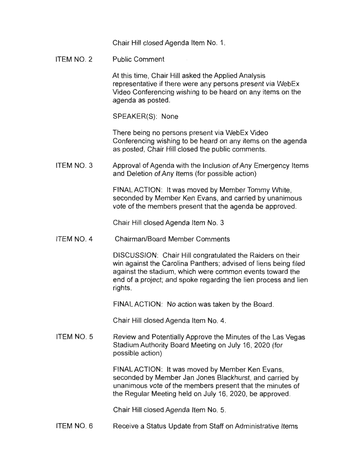Chair Hill closed Agenda Item No. 1.

ITEM NO. 2 Public Comment

> At this time, Chair Hill asked the Applied Analysis representative if there were any persons present via WebEx Video Conferencing wishing to be heard on any items on the agenda as posted.

SPEAKER(S): None

There being no persons present via WebEx Video Conferencing wishing to be heard on any items on the agenda as posted, Chair Hill closed the public comments.

ITEM NO. 3 Approval of Agenda with the Inclusion of Any Emergency Items and Deletion of Any Items (for possible action)

> FINAL ACTION: It was moved by Member Tommy White, seconded by Member Ken Evans, and carried by unanimous vote of the members present that the agenda be approved.

Chair Hill closed Agenda Item No. 3

ITEM NO. 4 Chairman/Board Member Comments

> DISCUSSION: Chair Hill congratulated the Raiders on their win against the Carolina Panthers; advised of liens being filed against the stadium, which were common events toward the end of a project; and spoke regarding the lien process and lien rights.

FINAL ACTION: No action was taken by the Board.

Chair Hill closed Agenda Item No. 4.

ITEM NO. 5 Review and Potentially Approve the Minutes of the Las Vegas Stadium Authority Board Meeting on July 16, 2020 (for possible action)

> FINAL ACTION: It was moved by Member Ken Evans, seconded by Member Jan Jones Blackhurst, and carried by unanimous vote of the members present that the minutes of the Regular Meeting held on July 16, 2020, be approved.

Chair Hill closed Agenda Item No. 5.

ITEM NO. 6 Receive a Status Update from Staff on Administrative Items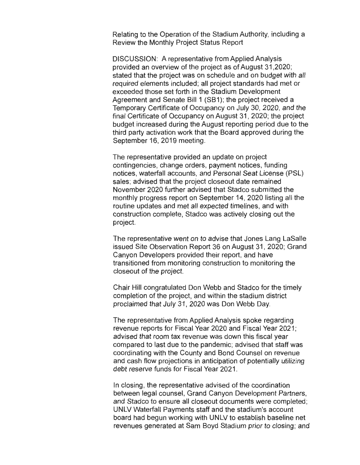Relating to the Operation of the Stadium Authority, including a Review the Monthly Project Status Report

DISCUSSION: A representative from Applied Analysis provided an overview of the project as of August 31 ,2020; stated that the project was on schedule and on budget with all required elements included; all project standards had met or exceeded those set forth in the Stadium Development Agreement and Senate Bill 1 (SB1); the project received a Temporary Certificate of Occupancy on July 30, 2020, and the final Certificate of Occupancy on August 31 , 2020; the project budget increased during the August reporting period due to the third party activation work that the Board approved during the September 16, 2019 meeting.

The representative provided an update on project contingencies, change orders, payment notices, funding notices, waterfall accounts, and Personal Seat License (PSL) sales; advised that the project closeout date remained November 2020 further advised that Stadco submitted the monthly progress report on September 14, 2020 listing all the routine updates and met all expected timelines, and with construction complete, Stadco was actively closing out the project.

The representative went on to advise that Jones Lang LaSalle issued Site Observation Report 36 on August 31, 2020; Grand Canyon Developers provided their report, and have transitioned from monitoring construction to monitoring the closeout of the project.

Chair Hill congratulated Don Webb and Stadco for the timely completion of the project, and within the stadium district proclaimed that July 31, 2020 was Don Webb Day.

The representative from Applied Analysis spoke regarding revenue reports for Fiscal Year 2020 and Fiscal Year 2021; advised that room tax revenue was down this fiscal year compared to last due to the pandemic; advised that staff was coordinating with the County and Bond Counsel on revenue and cash flow projections in anticipation of potentially utilizing debt reserve funds for Fiscal Year 2021.

In closing, the representative advised of the coordination between legal counsel, Grand Canyon Development Partners, and Stadco to ensure all closeout documents were completed; UNLV Waterfall Payments staff and the stadium's account board had begun working with UNLV to establish baseline net revenues generated at Sam Boyd Stadium prior to closing; and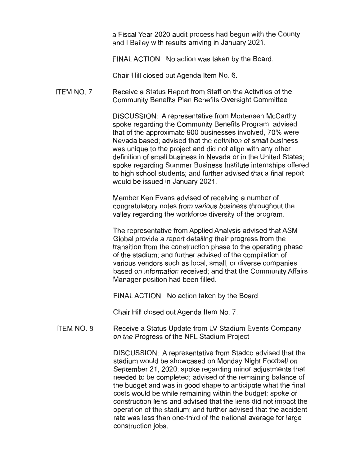a Fiscal Year 2020 audit process had begun with the County and I Bailey with results arriving in January 2021 .

FINAL ACTION: No action was taken by the Board.

Chair Hill closed out Agenda Item No. 6.

ITEM NO. 7 Receive a Status Report from Staff on the Activities of the Community Benefits Plan Benefits Oversight Committee

> DISCUSSION: A representative from Mortensen McCarthy spoke regarding the Community Benefits Program; advised that of the approximate 900 businesses involved, 70% were Nevada based; advised that the definition of small business was unique to the project and did not align with any other definition of small business in Nevada or in the United States; spoke regarding Summer Business Institute internships offered to high school students; and further advised that a final report would be issued in January 2021.

Member Ken Evans advised of receiving a number of congratulatory notes from various business throughout the valley regarding the workforce diversity of the program.

The representative from Applied Analysis advised that ASM Global provide a report detailing their progress from the transition from the construction phase to the operating phase of the stadium; and further advised of the compilation of various vendors such as local, small, or diverse companies based on information received; and that the Community Affairs Manager position had been filled.

FINAL ACTION: No action taken by the Board.

Chair Hill closed out Agenda Item No. 7.

ITEM NO. 8 Receive a Status Update from LV Stadium Events Company on the Progress of the NFL Stadium Project

> DISCUSSION: A representative from Stadco advised that the stadium would be showcased on Monday Night Football on September 21, 2020; spoke regarding minor adjustments that needed to be completed; advised of the remaining balance of the budget and was in good shape to anticipate what the final costs would be while remaining within the budget; spoke of construction liens and advised that the liens did not impact the operation of the stadium; and further advised that the accident rate was less than one-third of the national average for large construction jobs.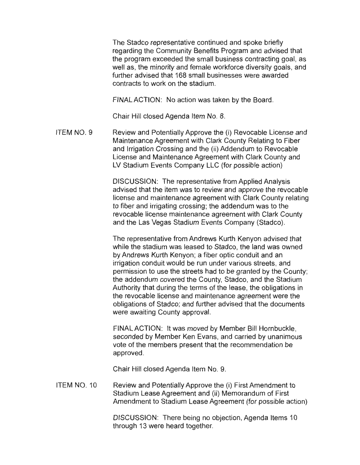The Stadco representative continued and spoke briefly regarding the Community Benefits Program and advised that the program exceeded the small business contracting goal, as well as, the minority and female workforce diversity goals, and further advised that 168 small businesses were awarded contracts to work on the stadium.

FINAL ACTION: No action was taken by the Board.

Chair Hill closed Agenda Item No. 8.

ITEM NO. 9 Review and Potentially Approve the (i) Revocable License and Maintenance Agreement with Clark County Relating to Fiber and Irrigation Crossing and the (ii) Addendum to Revocable License and Maintenance Agreement with Clark County and LV Stadium Events Company LLC (for possible action)

> DISCUSSION: The representative from Applied Analysis advised that the item was to review and approve the revocable license and maintenance agreement with Clark County relating to fiber and irrigating crossing; the addendum was to the revocable license maintenance agreement with Clark County and the Las Vegas Stadium Events Company (Stadco).

> The representative from Andrews Kurth Kenyon advised that while the stadium was leased to Stadco, the land was owned by Andrews Kurth Kenyon; a fiber optic conduit and an irrigation conduit would be run under various streets, and permission to use the streets had to be granted by the County; the addendum covered the County, Stadco, and the Stadium Authority that during the terms of the lease, the obligations in the revocable license and maintenance agreement were the obligations of Stadco; and further advised that the documents were awaiting County approval.

FINAL ACTION: It was moved by Member Bill Hornbuckle, seconded by Member Ken Evans, and carried by unanimous vote of the members present that the recommendation be approved.

Chair Hill closed Agenda Item No. 9.

ITEM NO. 10 Review and Potentially Approve the (i) First Amendment to Stadium Lease Agreement and (ii) Memorandum of First Amendment to Stadium Lease Agreement (for possible action)

> DISCUSSION: There being no objection, Agenda Items 10 through 13 were heard together.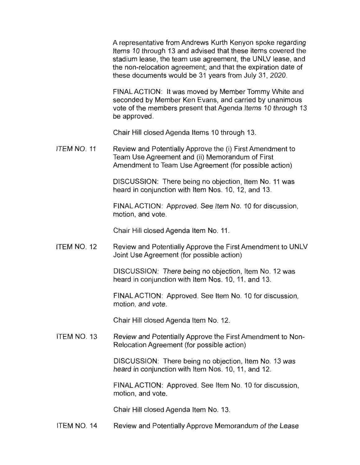A representative from Andrews Kurth Kenyon spoke regarding Items 10 through 13 and advised that these items covered the stadium lease, the team use agreement, the UNLV lease, and the non-relocation agreement; and that the expiration date of these documents would be 31 years from July 31 , 2020.

FINAL ACTION: It was moved by Member Tommy White and seconded by Member Ken Evans, and carried by unanimous vote of the members present that Agenda Items 10 through 13 be approved.

Chair Hill closed Agenda Items 10 through 13.

ITEM NO. 11 Review and Potentially Approve the (i) First Amendment to Team Use Agreement and (ii) Memorandum of First Amendment to Team Use Agreement (for possible action)

> DISCUSSION: There being no objection, Item No. 11 was heard in conjunction with Item Nos. 10, 12, and 13.

FINAL ACTION: Approved. See Item No. 10 for discussion. motion, and vote.

Chair Hill closed Agenda Item No. 11 .

ITEM NO. 12 Review and Potentially Approve the First Amendment to UNLV Joint Use Agreement (for possible action)

> DISCUSSION: There being no objection, Item No. 12 was heard in conjunction with Item Nos. 10, 11, and 13.

FINAL ACTION: Approved. See Item No. 10 for discussion, motion, and vote.

Chair Hill closed Agenda Item No. 12.

ITEM NO. 13 Review and Potentially Approve the First Amendment to Non-Relocation Agreement (for possible action)

> DISCUSSION: There being no objection, Item No. 13 was heard in conjunction with Item Nos. 10, 11, and 12.

FINAL ACTION: Approved. See Item No. 10 for discussion, motion, and vote.

Chair Hill closed Agenda Item No. 13.

ITEM NO. 14 Review and Potentially Approve Memorandum of the Lease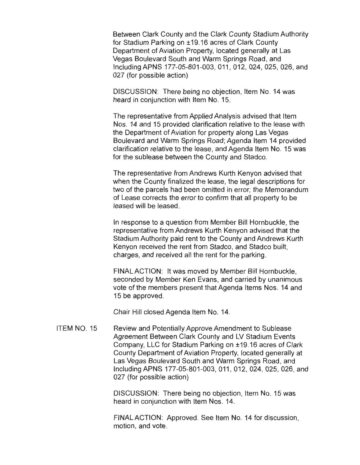Between Clark County and the Clark County Stadium Authority for Stadium Parking on ±19.16 acres of Clark County Department of Aviation Property, located generally at Las Vegas Boulevard South and Warm Springs Road, and lncludingAPNS 177-05-801-003, 011 , 012, 024, 025, 026, and 027 (for possible action)

DISCUSSION: There being no objection, Item No. 14 was heard in conjunction with Item No. 15.

The representative from Applied Analysis advised that Item Nos. 14 and 15 provided clarification relative to the lease with the Department of Aviation for property along Las Vegas Boulevard and Warm Springs Road; Agenda Item 14 provided clarification relative to the lease, and Agenda Item No. 15 was for the sublease between the County and Stadco.

The representative from Andrews Kurth Kenyon advised that when the County finalized the lease, the legal descriptions for two of the parcels had been omitted in error; the Memorandum of Lease corrects the error to confirm that all property to be leased will be leased.

In response to a question from Member Bill Hornbuckle, the representative from Andrews Kurth Kenyon advised that the Stadium Authority paid rent to the County and Andrews Kurth Kenyon received the rent from Stadco, and Stadco built, charges, and received all the rent for the parking.

FINAL ACTION: It was moved by Member Bill Hornbuckle, seconded by Member Ken Evans, and carried by unanimous vote of the members present that Agenda Items Nos. 14 and 15 be approved.

Chair Hill closed Agenda Item No. 14.

ITEM NO. 15 Review and Potentially Approve Amendment to Sublease Agreement Between Clark County and LV Stadium Events Company, LLC for Stadium Parking on ±19.16 acres of Clark County Department of Aviation Property, located generally at Las Vegas Boulevard South and Warm Springs Road, and Including APNS 177-05-801-003, 011 , 012, 024, 025, 026, and 027 (for possible action)

> DISCUSSION: There being no objection, Item No. 15 was heard in conjunction with Item Nos. 14.

FINAL ACTION: Approved. See Item No. 14 for discussion, motion, and vote.